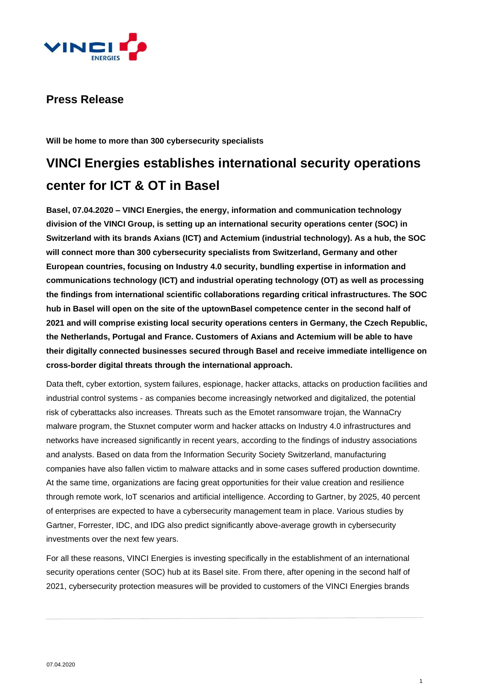

# **Press Release**

**Will be home to more than 300 cybersecurity specialists**

# **VINCI Energies establishes international security operations center for ICT & OT in Basel**

**Basel, 07.04.2020 – VINCI Energies, the energy, information and communication technology division of the VINCI Group, is setting up an international security operations center (SOC) in Switzerland with its brands Axians (ICT) and Actemium (industrial technology). As a hub, the SOC will connect more than 300 cybersecurity specialists from Switzerland, Germany and other European countries, focusing on Industry 4.0 security, bundling expertise in information and communications technology (ICT) and industrial operating technology (OT) as well as processing the findings from international scientific collaborations regarding critical infrastructures. The SOC hub in Basel will open on the site of the uptownBasel competence center in the second half of 2021 and will comprise existing local security operations centers in Germany, the Czech Republic, the Netherlands, Portugal and France. Customers of Axians and Actemium will be able to have their digitally connected businesses secured through Basel and receive immediate intelligence on cross-border digital threats through the international approach.**

Data theft, cyber extortion, system failures, espionage, hacker attacks, attacks on production facilities and industrial control systems - as companies become increasingly networked and digitalized, the potential risk of cyberattacks also increases. Threats such as the Emotet ransomware trojan, the WannaCry malware program, the Stuxnet computer worm and hacker attacks on Industry 4.0 infrastructures and networks have increased significantly in recent years, according to the findings of industry associations and analysts. Based on data from the Information Security Society Switzerland, manufacturing companies have also fallen victim to malware attacks and in some cases suffered production downtime. At the same time, organizations are facing great opportunities for their value creation and resilience through remote work, IoT scenarios and artificial intelligence. According to Gartner, by 2025, 40 percent of enterprises are expected to have a cybersecurity management team in place. Various studies by Gartner, Forrester, IDC, and IDG also predict significantly above-average growth in cybersecurity investments over the next few years.

For all these reasons, VINCI Energies is investing specifically in the establishment of an international security operations center (SOC) hub at its Basel site. From there, after opening in the second half of 2021, cybersecurity protection measures will be provided to customers of the VINCI Energies brands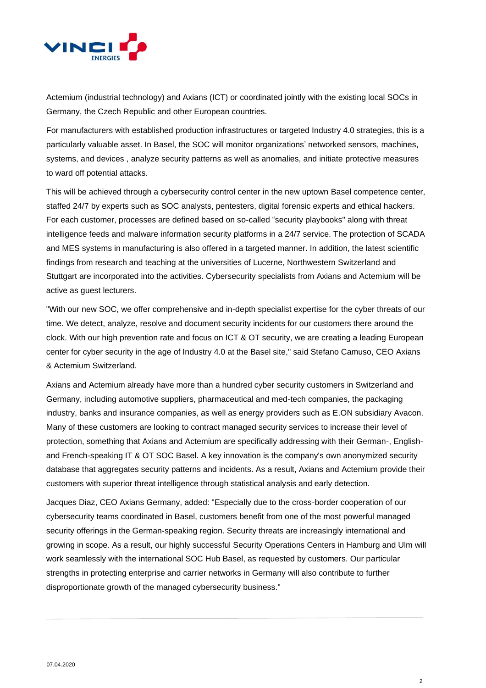

Actemium (industrial technology) and Axians (ICT) or coordinated jointly with the existing local SOCs in Germany, the Czech Republic and other European countries.

For manufacturers with established production infrastructures or targeted Industry 4.0 strategies, this is a particularly valuable asset. In Basel, the SOC will monitor organizations' networked sensors, machines, systems, and devices , analyze security patterns as well as anomalies, and initiate protective measures to ward off potential attacks.

This will be achieved through a cybersecurity control center in the new uptown Basel competence center, staffed 24/7 by experts such as SOC analysts, pentesters, digital forensic experts and ethical hackers. For each customer, processes are defined based on so-called "security playbooks" along with threat intelligence feeds and malware information security platforms in a 24/7 service. The protection of SCADA and MES systems in manufacturing is also offered in a targeted manner. In addition, the latest scientific findings from research and teaching at the universities of Lucerne, Northwestern Switzerland and Stuttgart are incorporated into the activities. Cybersecurity specialists from Axians and Actemium will be active as guest lecturers.

"With our new SOC, we offer comprehensive and in-depth specialist expertise for the cyber threats of our time. We detect, analyze, resolve and document security incidents for our customers there around the clock. With our high prevention rate and focus on ICT & OT security, we are creating a leading European center for cyber security in the age of Industry 4.0 at the Basel site," said Stefano Camuso, CEO Axians & Actemium Switzerland.

Axians and Actemium already have more than a hundred cyber security customers in Switzerland and Germany, including automotive suppliers, pharmaceutical and med-tech companies, the packaging industry, banks and insurance companies, as well as energy providers such as E.ON subsidiary Avacon. Many of these customers are looking to contract managed security services to increase their level of protection, something that Axians and Actemium are specifically addressing with their German-, Englishand French-speaking IT & OT SOC Basel. A key innovation is the company's own anonymized security database that aggregates security patterns and incidents. As a result, Axians and Actemium provide their customers with superior threat intelligence through statistical analysis and early detection.

Jacques Diaz, CEO Axians Germany, added: "Especially due to the cross-border cooperation of our cybersecurity teams coordinated in Basel, customers benefit from one of the most powerful managed security offerings in the German-speaking region. Security threats are increasingly international and growing in scope. As a result, our highly successful Security Operations Centers in Hamburg and Ulm will work seamlessly with the international SOC Hub Basel, as requested by customers. Our particular strengths in protecting enterprise and carrier networks in Germany will also contribute to further disproportionate growth of the managed cybersecurity business."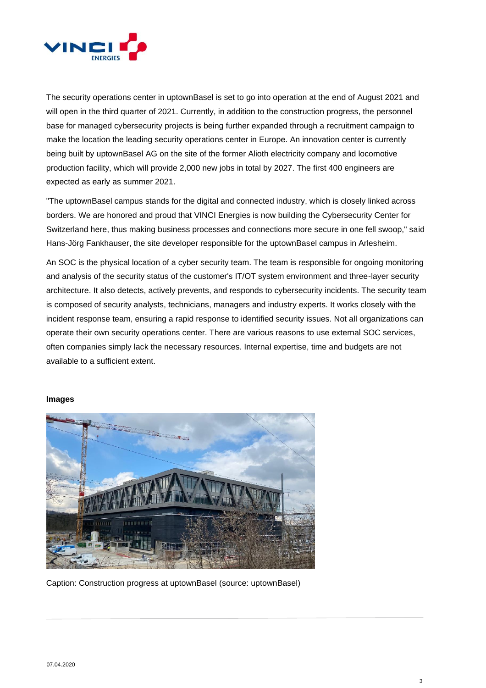

The security operations center in uptownBasel is set to go into operation at the end of August 2021 and will open in the third quarter of 2021. Currently, in addition to the construction progress, the personnel base for managed cybersecurity projects is being further expanded through a recruitment campaign to make the location the leading security operations center in Europe. An innovation center is currently being built by uptownBasel AG on the site of the former Alioth electricity company and locomotive production facility, which will provide 2,000 new jobs in total by 2027. The first 400 engineers are expected as early as summer 2021.

"The uptownBasel campus stands for the digital and connected industry, which is closely linked across borders. We are honored and proud that VINCI Energies is now building the Cybersecurity Center for Switzerland here, thus making business processes and connections more secure in one fell swoop," said Hans-Jörg Fankhauser, the site developer responsible for the uptownBasel campus in Arlesheim.

An SOC is the physical location of a cyber security team. The team is responsible for ongoing monitoring and analysis of the security status of the customer's IT/OT system environment and three-layer security architecture. It also detects, actively prevents, and responds to cybersecurity incidents. The security team is composed of security analysts, technicians, managers and industry experts. It works closely with the incident response team, ensuring a rapid response to identified security issues. Not all organizations can operate their own security operations center. There are various reasons to use external SOC services, often companies simply lack the necessary resources. Internal expertise, time and budgets are not available to a sufficient extent.

### **Images**



Caption: Construction progress at uptownBasel (source: uptownBasel)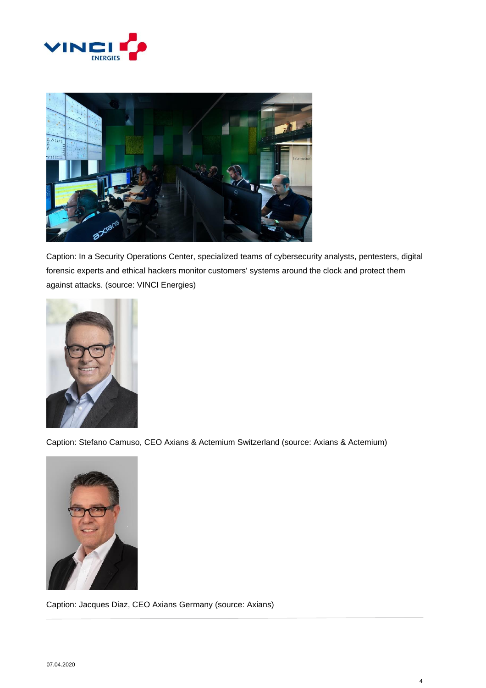



Caption: In a Security Operations Center, specialized teams of cybersecurity analysts, pentesters, digital forensic experts and ethical hackers monitor customers' systems around the clock and protect them against attacks. (source: VINCI Energies)



Caption: Stefano Camuso, CEO Axians & Actemium Switzerland (source: Axians & Actemium)



Caption: Jacques Diaz, CEO Axians Germany (source: Axians)